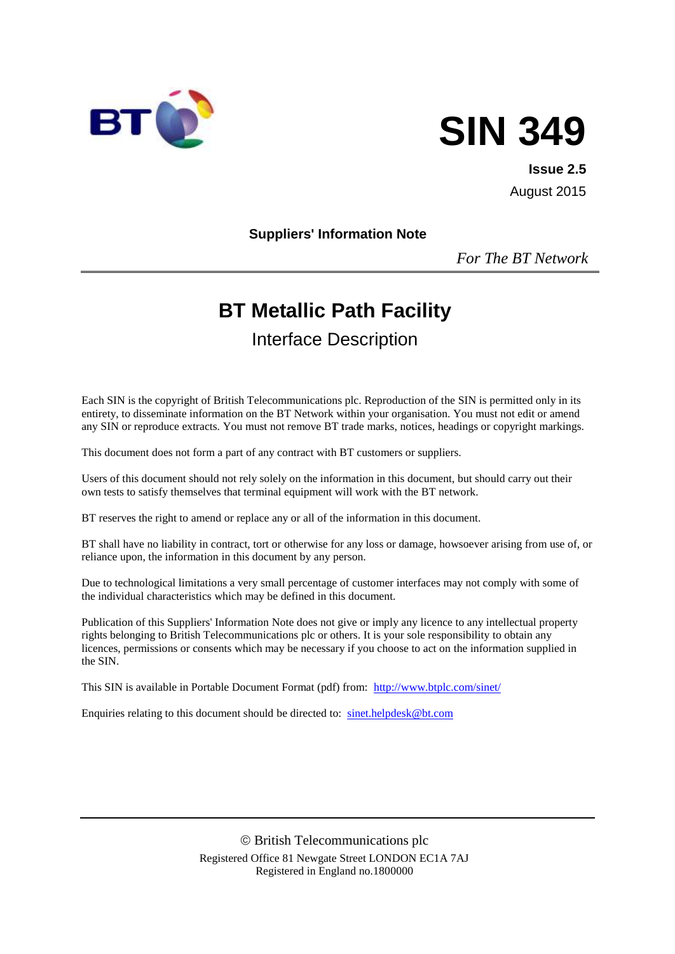



**Issue 2.5** August 2015

#### **Suppliers' Information Note**

*For The BT Network*

# **BT Metallic Path Facility**

Interface Description

Each SIN is the copyright of British Telecommunications plc. Reproduction of the SIN is permitted only in its entirety, to disseminate information on the BT Network within your organisation. You must not edit or amend any SIN or reproduce extracts. You must not remove BT trade marks, notices, headings or copyright markings.

This document does not form a part of any contract with BT customers or suppliers.

Users of this document should not rely solely on the information in this document, but should carry out their own tests to satisfy themselves that terminal equipment will work with the BT network.

BT reserves the right to amend or replace any or all of the information in this document.

BT shall have no liability in contract, tort or otherwise for any loss or damage, howsoever arising from use of, or reliance upon, the information in this document by any person.

Due to technological limitations a very small percentage of customer interfaces may not comply with some of the individual characteristics which may be defined in this document.

Publication of this Suppliers' Information Note does not give or imply any licence to any intellectual property rights belonging to British Telecommunications plc or others. It is your sole responsibility to obtain any licences, permissions or consents which may be necessary if you choose to act on the information supplied in the SIN.

This SIN is available in Portable Document Format (pdf) from: <http://www.btplc.com/sinet/>

Enquiries relating to this document should be directed to: [sinet.helpdesk@bt.com](mailto:sinet.helpdesk@bt.com)

 British Telecommunications plc Registered Office 81 Newgate Street LONDON EC1A 7AJ Registered in England no.1800000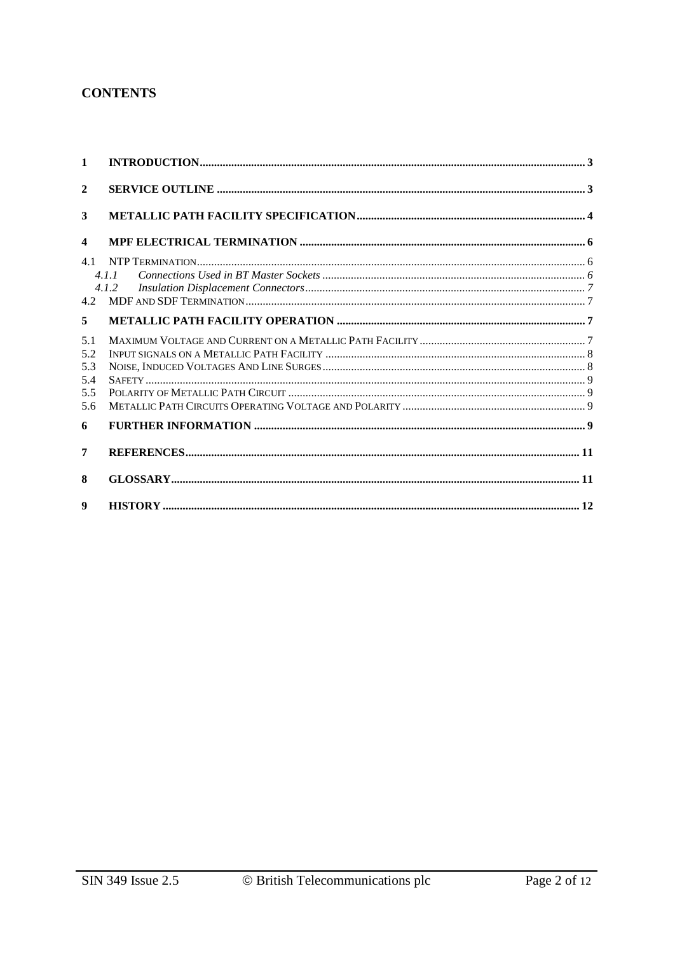#### **CONTENTS**

| $\mathbf{1}$            |       |  |
|-------------------------|-------|--|
| $\mathbf{2}$            |       |  |
| 3                       |       |  |
| $\overline{\mathbf{4}}$ |       |  |
| 4.1                     |       |  |
|                         | 4.1.1 |  |
|                         | 4.1.2 |  |
|                         |       |  |
| 5                       |       |  |
| 5.1                     |       |  |
| 5.2                     |       |  |
| 5.3                     |       |  |
| 5.4                     |       |  |
| 5.5                     |       |  |
| 5.6                     |       |  |
| 6                       |       |  |
| 7                       |       |  |
| 8                       |       |  |
| $\boldsymbol{Q}$        |       |  |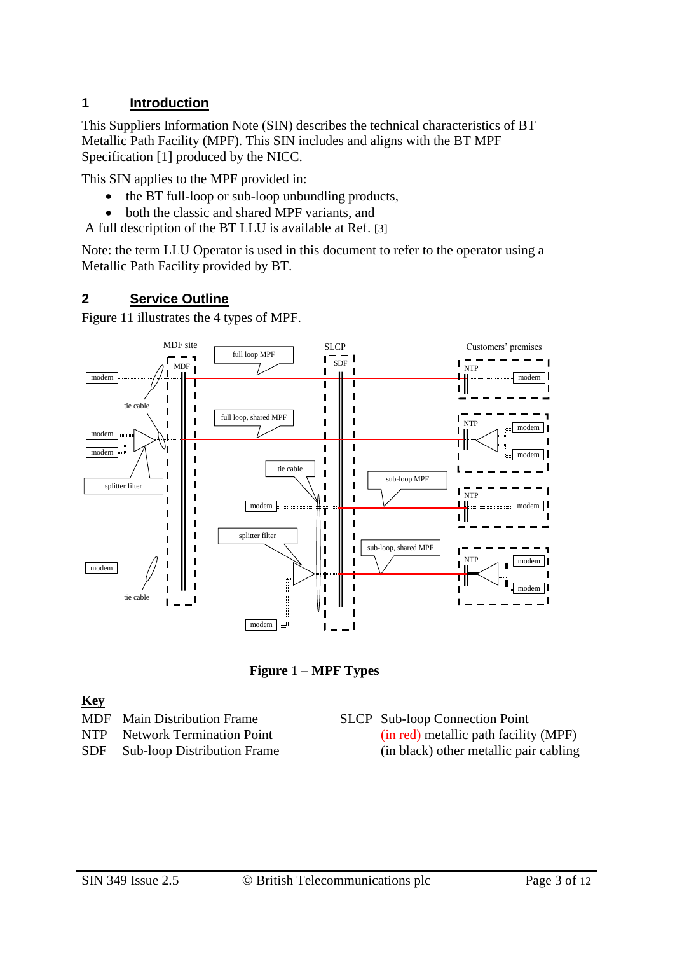## **1 Introduction**

This Suppliers Information Note (SIN) describes the technical characteristics of BT Metallic Path Facility (MPF). This SIN includes and aligns with the BT MPF Specification [1] produced by the NICC.

This SIN applies to the MPF provided in:

- the BT full-loop or sub-loop unbundling products,
- both the classic and shared MPF variants, and

A full description of the BT LLU is available at Ref. [3]

Note: the term LLU Operator is used in this document to refer to the operator using a Metallic Path Facility provided by BT.

#### **2 Service Outline**

[Figure 11](#page-2-0) illustrates the 4 types of MPF.



**Figure** 1 **– MPF Types**

#### <span id="page-2-0"></span>**Key**

- MDF Main Distribution Frame
- NTP Network Termination Point
- SDF Sub-loop Distribution Frame
- SLCP Sub-loop Connection Point (in red) metallic path facility (MPF) (in black) other metallic pair cabling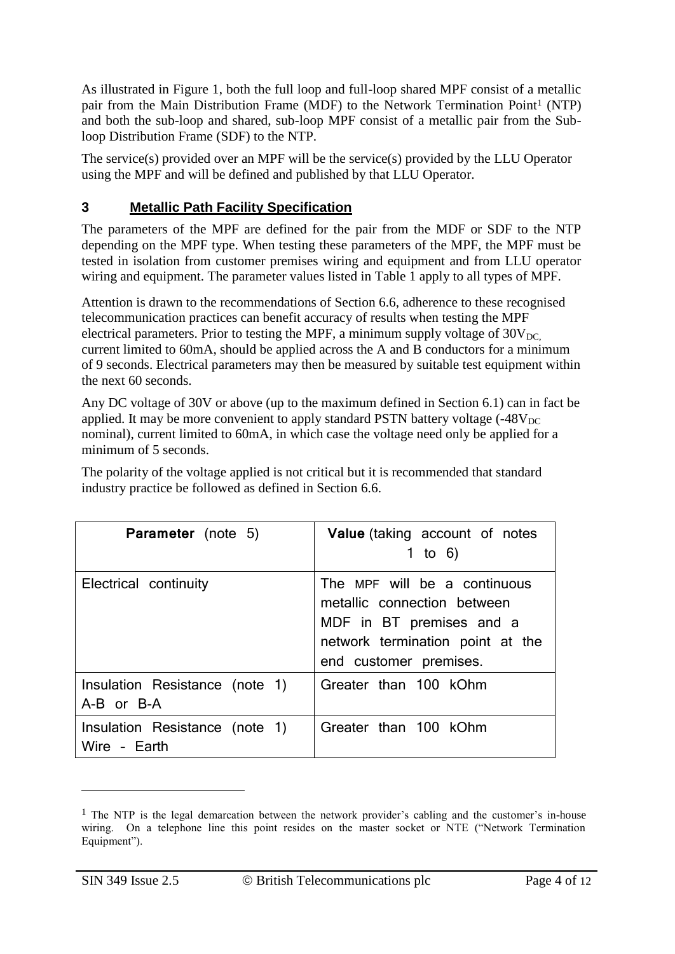As illustrated in Figure 1, both the full loop and full-loop shared MPF consist of a metallic pair from the Main Distribution Frame (MDF) to the Network Termination Point<sup>1</sup> (NTP) and both the sub-loop and shared, sub-loop MPF consist of a metallic pair from the Subloop Distribution Frame (SDF) to the NTP.

The service(s) provided over an MPF will be the service(s) provided by the LLU Operator using the MPF and will be defined and published by that LLU Operator.

### **3 Metallic Path Facility Specification**

The parameters of the MPF are defined for the pair from the MDF or SDF to the NTP depending on the MPF type. When testing these parameters of the MPF, the MPF must be tested in isolation from customer premises wiring and equipment and from LLU operator wiring and equipment. The parameter values listed in [Table 1](#page-4-0) apply to all types of MPF.

Attention is drawn to the recommendations of Section 6.6, adherence to these recognised telecommunication practices can benefit accuracy of results when testing the MPF electrical parameters. Prior to testing the MPF, a minimum supply voltage of  $30V<sub>DC</sub>$ current limited to 60mA, should be applied across the A and B conductors for a minimum of 9 seconds. Electrical parameters may then be measured by suitable test equipment within the next 60 seconds.

Any DC voltage of 30V or above (up to the maximum defined in Section 6.1) can in fact be applied. It may be more convenient to apply standard PSTN battery voltage  $(-48V<sub>DC</sub>$ nominal), current limited to 60mA, in which case the voltage need only be applied for a minimum of 5 seconds.

The polarity of the voltage applied is not critical but it is recommended that standard industry practice be followed as defined in Section 6.6.

| <b>Parameter</b> (note 5)                      | Value (taking account of notes<br>1 to 6)                                                                                                             |
|------------------------------------------------|-------------------------------------------------------------------------------------------------------------------------------------------------------|
| Electrical continuity                          | The MPF will be a continuous<br>metallic connection between<br>MDF in BT premises and a<br>network termination point at the<br>end customer premises. |
| Insulation Resistance (note 1)<br>A-B or B-A   | Greater than 100 kOhm                                                                                                                                 |
| Insulation Resistance (note 1)<br>Wire - Earth | Greater than 100 kOhm                                                                                                                                 |

<sup>&</sup>lt;sup>1</sup> The NTP is the legal demarcation between the network provider's cabling and the customer's in-house wiring. On a telephone line this point resides on the master socket or NTE ("Network Termination Equipment").

1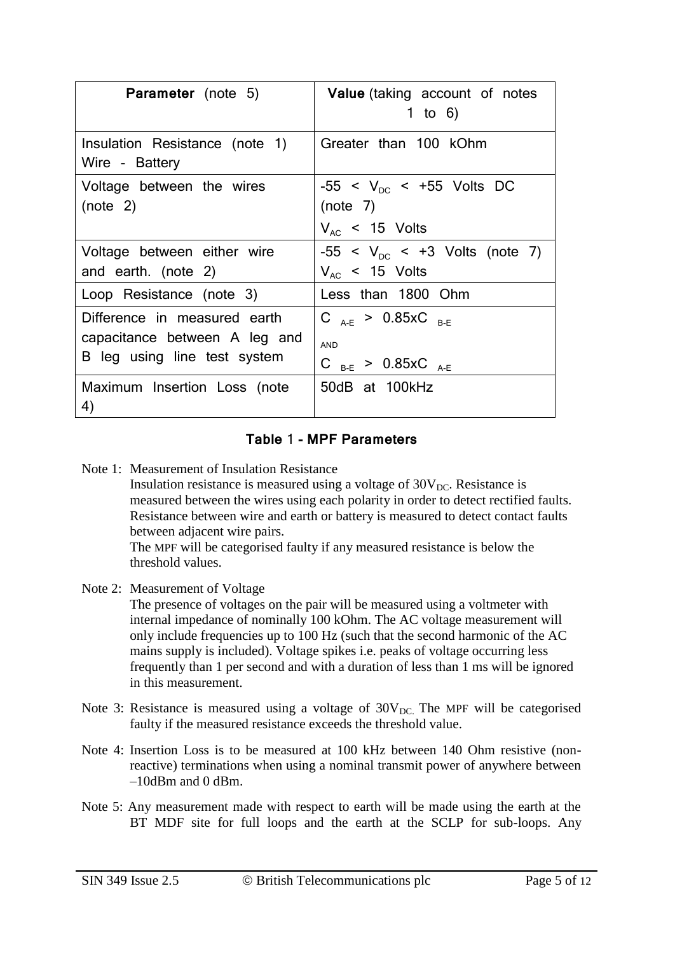| <b>Parameter</b> (note 5)                                                                     | Value (taking account of notes<br>1 to 6)                                    |
|-----------------------------------------------------------------------------------------------|------------------------------------------------------------------------------|
| Insulation Resistance (note 1)<br>Wire - Battery                                              | Greater than 100 kOhm                                                        |
| Voltage between the wires<br>(note <sub>2</sub> )                                             | $-55 < V_{nc} < +55$ Volts DC<br>(note <sub>7</sub> )<br>$V_{AC}$ < 15 Volts |
| Voltage between either wire<br>and earth. (note 2)                                            | $-55 < V_{DC} < +3$ Volts (note 7)<br>$V_{AC}$ < 15 Volts                    |
| Loop Resistance (note 3)                                                                      | Less than 1800 Ohm                                                           |
| Difference in measured earth<br>capacitance between A leg and<br>B leg using line test system | C $_{A-F}$ > 0.85xC $_{B-F}$<br><b>AND</b><br>C $_{B-E}$ > 0.85xC $_{A-E}$   |
| Maximum Insertion Loss (note<br>4)                                                            | 50dB at 100kHz                                                               |

#### **Table** 1 **- MPF Parameters**

<span id="page-4-0"></span>Note 1: Measurement of Insulation Resistance

Insulation resistance is measured using a voltage of  $30V_{DC}$ . Resistance is measured between the wires using each polarity in order to detect rectified faults. Resistance between wire and earth or battery is measured to detect contact faults between adjacent wire pairs.

The MPF will be categorised faulty if any measured resistance is below the threshold values.

Note 2: Measurement of Voltage

The presence of voltages on the pair will be measured using a voltmeter with internal impedance of nominally 100 kOhm. The AC voltage measurement will only include frequencies up to 100 Hz (such that the second harmonic of the AC mains supply is included). Voltage spikes i.e. peaks of voltage occurring less frequently than 1 per second and with a duration of less than 1 ms will be ignored in this measurement.

- Note 3: Resistance is measured using a voltage of  $30V_{DC}$ . The MPF will be categorised faulty if the measured resistance exceeds the threshold value.
- Note 4: Insertion Loss is to be measured at 100 kHz between 140 Ohm resistive (nonreactive) terminations when using a nominal transmit power of anywhere between –10dBm and 0 dBm.
- Note 5: Any measurement made with respect to earth will be made using the earth at the BT MDF site for full loops and the earth at the SCLP for sub-loops. Any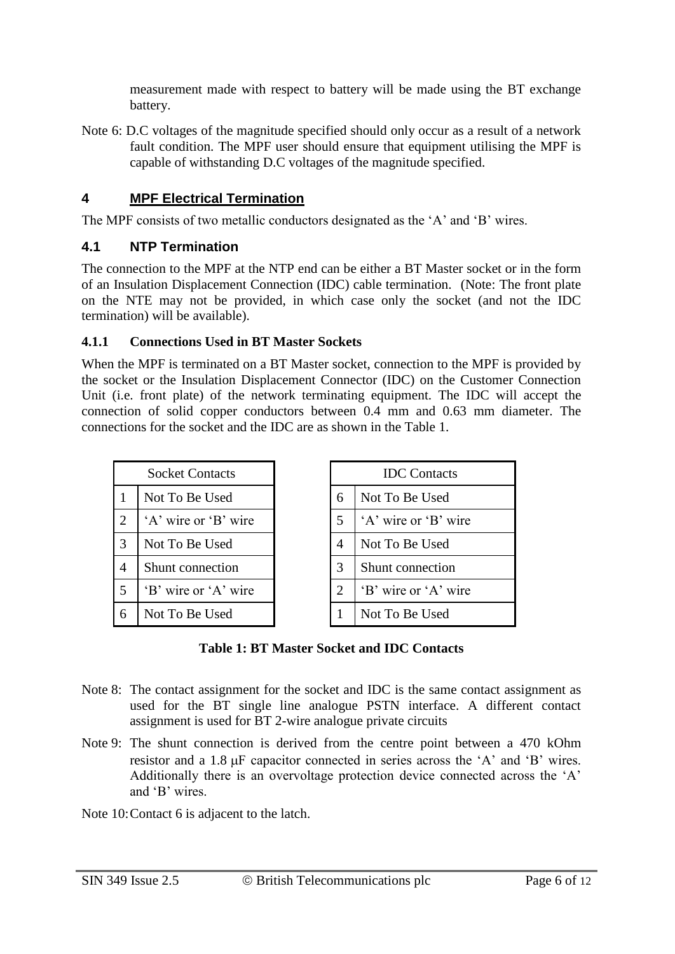measurement made with respect to battery will be made using the BT exchange battery.

Note 6: D.C voltages of the magnitude specified should only occur as a result of a network fault condition. The MPF user should ensure that equipment utilising the MPF is capable of withstanding D.C voltages of the magnitude specified.

## **4 MPF Electrical Termination**

The MPF consists of two metallic conductors designated as the 'A' and 'B' wires.

### **4.1 NTP Termination**

The connection to the MPF at the NTP end can be either a BT Master socket or in the form of an Insulation Displacement Connection (IDC) cable termination. (Note: The front plate on the NTE may not be provided, in which case only the socket (and not the IDC termination) will be available).

### **4.1.1 Connections Used in BT Master Sockets**

When the MPF is terminated on a BT Master socket, connection to the MPF is provided by the socket or the Insulation Displacement Connector (IDC) on the Customer Connection Unit (i.e. front plate) of the network terminating equipment. The IDC will accept the connection of solid copper conductors between 0.4 mm and 0.63 mm diameter. The connections for the socket and the IDC are as shown in the Table 1.

| <b>Socket Contacts</b>      |                      |   | <b>IDC</b> Contacts  |
|-----------------------------|----------------------|---|----------------------|
|                             | Not To Be Used       | 6 | Not To Be Used       |
| $\mathcal{D}_{\mathcal{L}}$ | 'A' wire or 'B' wire | 5 | 'A' wire or 'B' wire |
| 3                           | Not To Be Used       | 4 | Not To Be Used       |
| 4                           | Shunt connection     | 3 | Shunt connection     |
| 5                           | 'B' wire or 'A' wire | 2 | 'B' wire or 'A' wire |
|                             | Not To Be Used       |   | Not To Be Used       |

| <b>IDC</b> Contacts |                      |  |
|---------------------|----------------------|--|
| 6                   | Not To Be Used       |  |
| 5                   | 'A' wire or 'B' wire |  |
| 4                   | Not To Be Used       |  |
| 3                   | Shunt connection     |  |
| $\overline{2}$      | 'B' wire or 'A' wire |  |
| 1                   | Not To Be Used       |  |

- Note 8: The contact assignment for the socket and IDC is the same contact assignment as used for the BT single line analogue PSTN interface. A different contact assignment is used for BT 2-wire analogue private circuits
- Note 9: The shunt connection is derived from the centre point between a 470 kOhm resistor and a  $1.8 \mu$ F capacitor connected in series across the 'A' and 'B' wires. Additionally there is an overvoltage protection device connected across the 'A' and 'B' wires.
- Note 10:Contact 6 is adjacent to the latch.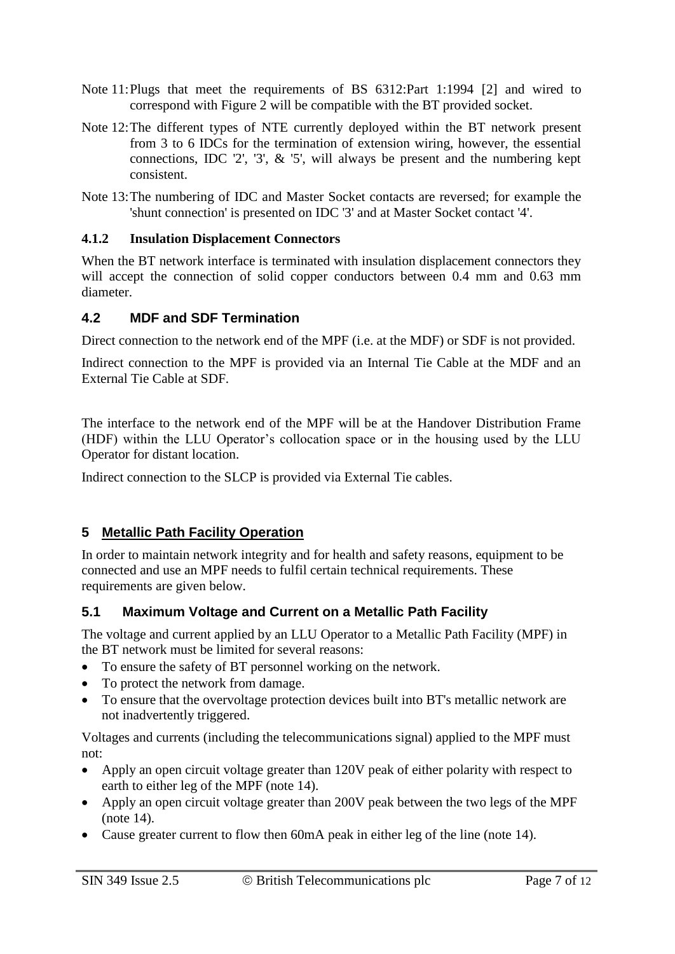- Note 11:Plugs that meet the requirements of BS 6312:Part 1:1994 [2] and wired to correspond with Figure 2 will be compatible with the BT provided socket.
- Note 12:The different types of NTE currently deployed within the BT network present from 3 to 6 IDCs for the termination of extension wiring, however, the essential connections, IDC  $\frac{1}{2}$ ,  $\frac{1}{3}$ ,  $\frac{k}{5}$ , will always be present and the numbering kept consistent.
- Note 13:The numbering of IDC and Master Socket contacts are reversed; for example the 'shunt connection' is presented on IDC '3' and at Master Socket contact '4'.

#### **4.1.2 Insulation Displacement Connectors**

When the BT network interface is terminated with insulation displacement connectors they will accept the connection of solid copper conductors between 0.4 mm and 0.63 mm diameter.

## **4.2 MDF and SDF Termination**

Direct connection to the network end of the MPF (i.e. at the MDF) or SDF is not provided.

Indirect connection to the MPF is provided via an Internal Tie Cable at the MDF and an External Tie Cable at SDF.

The interface to the network end of the MPF will be at the Handover Distribution Frame (HDF) within the LLU Operator's collocation space or in the housing used by the LLU Operator for distant location.

Indirect connection to the SLCP is provided via External Tie cables.

# **5 Metallic Path Facility Operation**

In order to maintain network integrity and for health and safety reasons, equipment to be connected and use an MPF needs to fulfil certain technical requirements. These requirements are given below.

# <span id="page-6-0"></span>**5.1 Maximum Voltage and Current on a Metallic Path Facility**

The voltage and current applied by an LLU Operator to a Metallic Path Facility (MPF) in the BT network must be limited for several reasons:

- To ensure the safety of BT personnel working on the network.
- To protect the network from damage.
- To ensure that the overvoltage protection devices built into BT's metallic network are not inadvertently triggered.

Voltages and currents (including the telecommunications signal) applied to the MPF must not:

- Apply an open circuit voltage greater than 120V peak of either polarity with respect to earth to either leg of the MPF (note 14).
- Apply an open circuit voltage greater than 200V peak between the two legs of the MPF (note 14).
- Cause greater current to flow then 60mA peak in either leg of the line (note 14).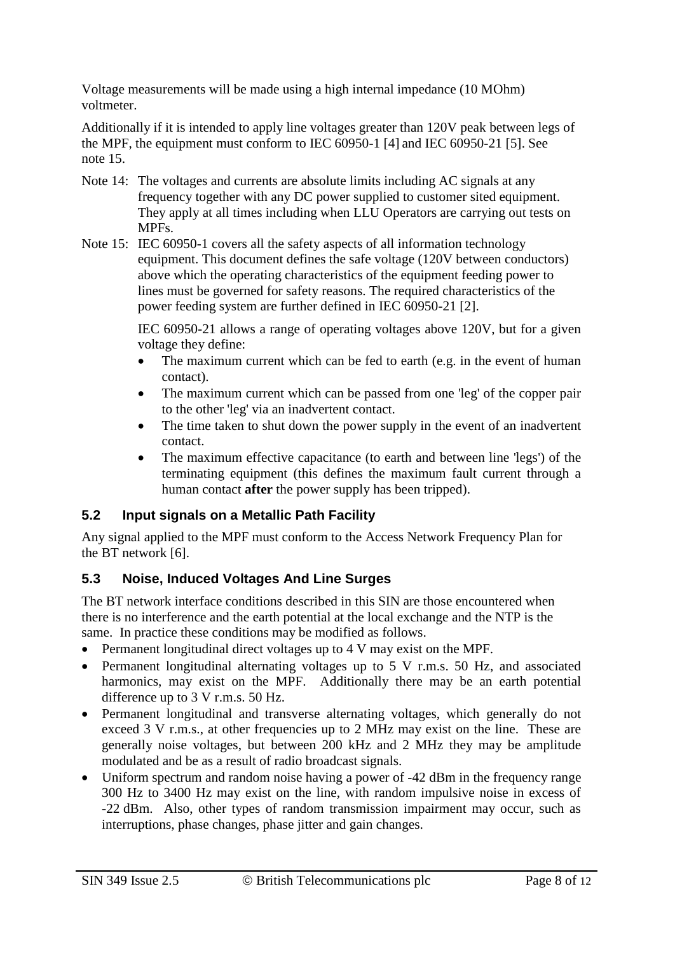Voltage measurements will be made using a high internal impedance (10 MOhm) voltmeter.

Additionally if it is intended to apply line voltages greater than 120V peak between legs of the MPF, the equipment must conform to IEC 60950-1 [4] and IEC 60950-21 [5]. See note 15.

- Note 14: The voltages and currents are absolute limits including AC signals at any frequency together with any DC power supplied to customer sited equipment. They apply at all times including when LLU Operators are carrying out tests on MPFs.
- Note 15: IEC 60950-1 covers all the safety aspects of all information technology equipment. This document defines the safe voltage (120V between conductors) above which the operating characteristics of the equipment feeding power to lines must be governed for safety reasons. The required characteristics of the power feeding system are further defined in IEC 60950-21 [2].

IEC 60950-21 allows a range of operating voltages above 120V, but for a given voltage they define:

- The maximum current which can be fed to earth (e.g. in the event of human contact).
- The maximum current which can be passed from one 'leg' of the copper pair to the other 'leg' via an inadvertent contact.
- The time taken to shut down the power supply in the event of an inadvertent contact.
- The maximum effective capacitance (to earth and between line 'legs') of the terminating equipment (this defines the maximum fault current through a human contact **after** the power supply has been tripped).

# **5.2 Input signals on a Metallic Path Facility**

Any signal applied to the MPF must conform to the Access Network Frequency Plan for the BT network [6].

# **5.3 Noise, Induced Voltages And Line Surges**

The BT network interface conditions described in this SIN are those encountered when there is no interference and the earth potential at the local exchange and the NTP is the same. In practice these conditions may be modified as follows.

- Permanent longitudinal direct voltages up to 4 V may exist on the MPF.
- Permanent longitudinal alternating voltages up to 5 V r.m.s. 50 Hz, and associated harmonics, may exist on the MPF. Additionally there may be an earth potential difference up to 3 V r.m.s. 50 Hz.
- Permanent longitudinal and transverse alternating voltages, which generally do not exceed 3 V r.m.s., at other frequencies up to 2 MHz may exist on the line. These are generally noise voltages, but between 200 kHz and 2 MHz they may be amplitude modulated and be as a result of radio broadcast signals.
- Uniform spectrum and random noise having a power of -42 dBm in the frequency range 300 Hz to 3400 Hz may exist on the line, with random impulsive noise in excess of -22 dBm. Also, other types of random transmission impairment may occur, such as interruptions, phase changes, phase jitter and gain changes.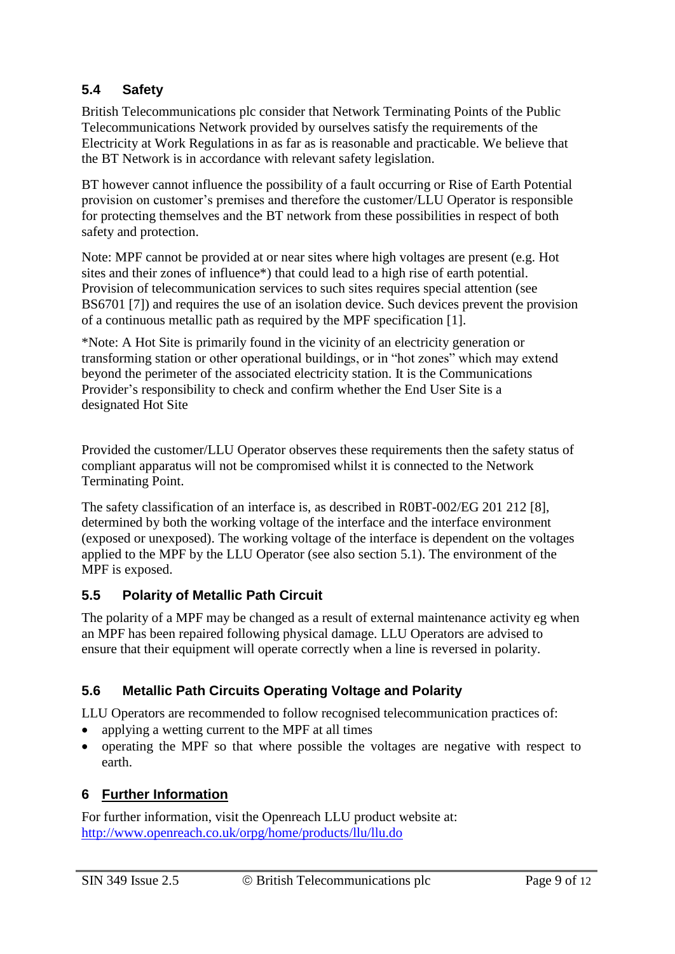## **5.4 Safety**

British Telecommunications plc consider that Network Terminating Points of the Public Telecommunications Network provided by ourselves satisfy the requirements of the Electricity at Work Regulations in as far as is reasonable and practicable. We believe that the BT Network is in accordance with relevant safety legislation.

BT however cannot influence the possibility of a fault occurring or Rise of Earth Potential provision on customer's premises and therefore the customer/LLU Operator is responsible for protecting themselves and the BT network from these possibilities in respect of both safety and protection.

Note: MPF cannot be provided at or near sites where high voltages are present (e.g. Hot sites and their zones of influence\*) that could lead to a high rise of earth potential. Provision of telecommunication services to such sites requires special attention (see BS6701 [7]) and requires the use of an isolation device. Such devices prevent the provision of a continuous metallic path as required by the MPF specification [1].

\*Note: A Hot Site is primarily found in the vicinity of an electricity generation or transforming station or other operational buildings, or in "hot zones" which may extend beyond the perimeter of the associated electricity station. It is the Communications Provider's responsibility to check and confirm whether the End User Site is a designated Hot Site

Provided the customer/LLU Operator observes these requirements then the safety status of compliant apparatus will not be compromised whilst it is connected to the Network Terminating Point.

The safety classification of an interface is, as described in R0BT-002/EG 201 212 [8], determined by both the working voltage of the interface and the interface environment (exposed or unexposed). The working voltage of the interface is dependent on the voltages applied to the MPF by the LLU Operator (see also section [5.1\)](#page-6-0). The environment of the MPF is exposed.

### **5.5 Polarity of Metallic Path Circuit**

The polarity of a MPF may be changed as a result of external maintenance activity eg when an MPF has been repaired following physical damage. LLU Operators are advised to ensure that their equipment will operate correctly when a line is reversed in polarity.

# **5.6 Metallic Path Circuits Operating Voltage and Polarity**

LLU Operators are recommended to follow recognised telecommunication practices of:

- applying a wetting current to the MPF at all times
- operating the MPF so that where possible the voltages are negative with respect to earth.

# **6 Further Information**

For further information, visit the Openreach LLU product website at: <http://www.openreach.co.uk/orpg/home/products/llu/llu.do>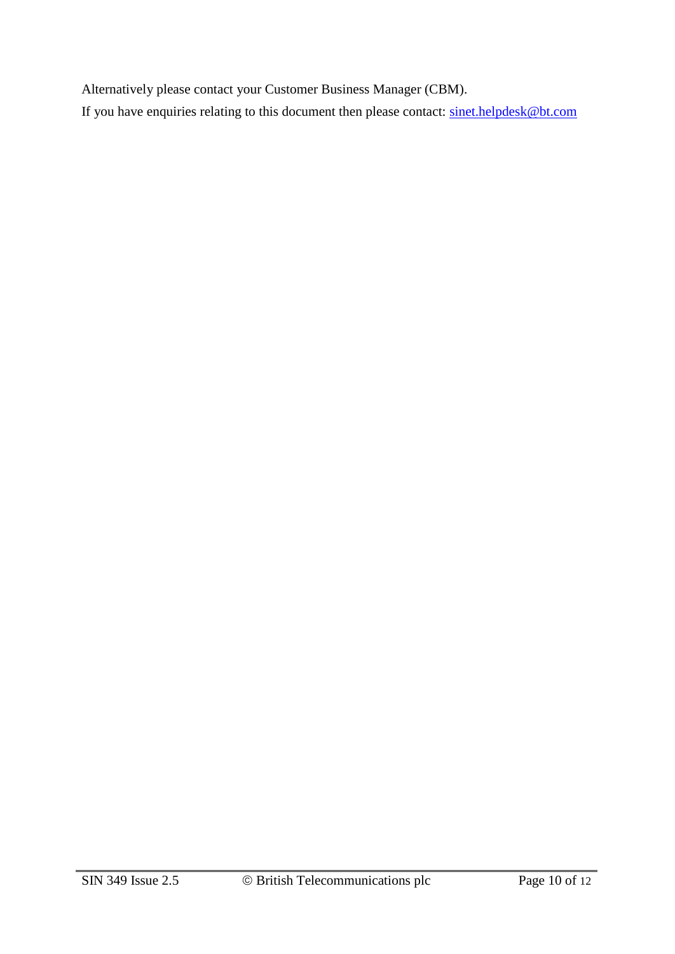Alternatively please contact your Customer Business Manager (CBM).

If you have enquiries relating to this document then please contact: [sinet.helpdesk@bt.com](mailto:sinet.helpdesk@bt.com)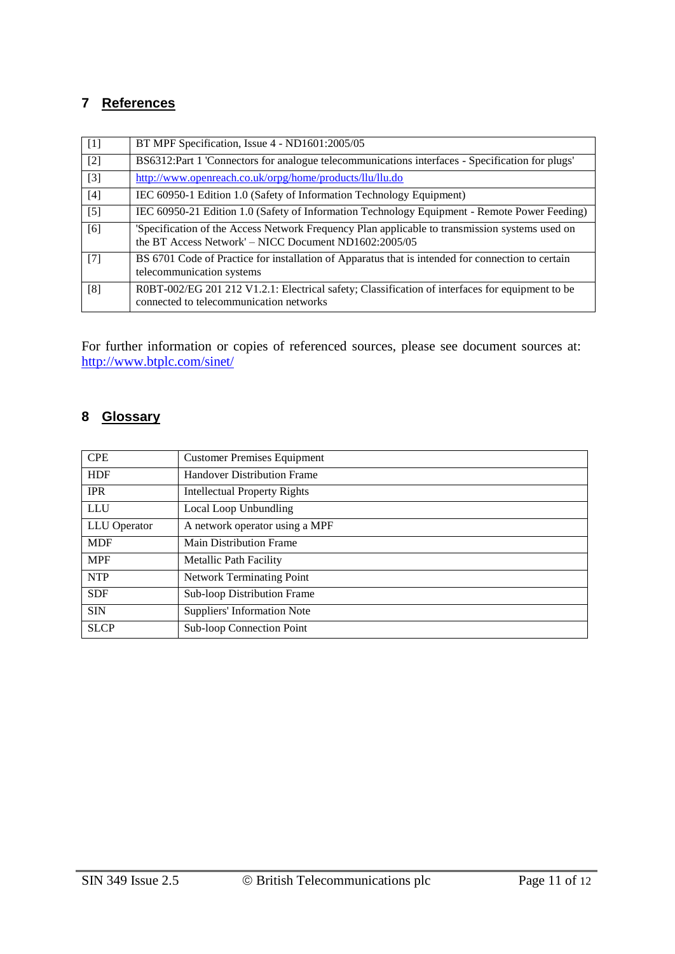## **7 References**

| $\lceil 1 \rceil$ | BT MPF Specification, Issue 4 - ND1601:2005/05                                                                                                          |
|-------------------|---------------------------------------------------------------------------------------------------------------------------------------------------------|
| $[2]$             | BS6312:Part 1 Connectors for analogue telecommunications interfaces - Specification for plugs'                                                          |
| $[3]$             | http://www.openreach.co.uk/orpg/home/products/llu/llu.do                                                                                                |
| $[4]$             | IEC 60950-1 Edition 1.0 (Safety of Information Technology Equipment)                                                                                    |
| $[5]$             | IEC 60950-21 Edition 1.0 (Safety of Information Technology Equipment - Remote Power Feeding)                                                            |
| [6]               | 'Specification of the Access Network Frequency Plan applicable to transmission systems used on<br>the BT Access Network' - NICC Document ND1602:2005/05 |
| $[7]$             | BS 6701 Code of Practice for installation of Apparatus that is intended for connection to certain<br>telecommunication systems                          |
| [8]               | R0BT-002/EG 201 212 V1.2.1: Electrical safety; Classification of interfaces for equipment to be<br>connected to telecommunication networks              |

For further information or copies of referenced sources, please see document sources at: <http://www.btplc.com/sinet/>

# **8 Glossary**

| <b>CPE</b>                          | <b>Customer Premises Equipment</b>  |
|-------------------------------------|-------------------------------------|
| <b>HDF</b>                          | <b>Handover Distribution Frame</b>  |
| <b>IPR</b>                          | <b>Intellectual Property Rights</b> |
| <b>LLU</b><br>Local Loop Unbundling |                                     |
| LLU Operator                        | A network operator using a MPF      |
| <b>MDF</b>                          | <b>Main Distribution Frame</b>      |
| <b>MPF</b>                          | <b>Metallic Path Facility</b>       |
| <b>NTP</b>                          | <b>Network Terminating Point</b>    |
| <b>SDF</b>                          | <b>Sub-loop Distribution Frame</b>  |
| <b>SIN</b>                          | <b>Suppliers' Information Note</b>  |
| <b>SLCP</b>                         | Sub-loop Connection Point           |